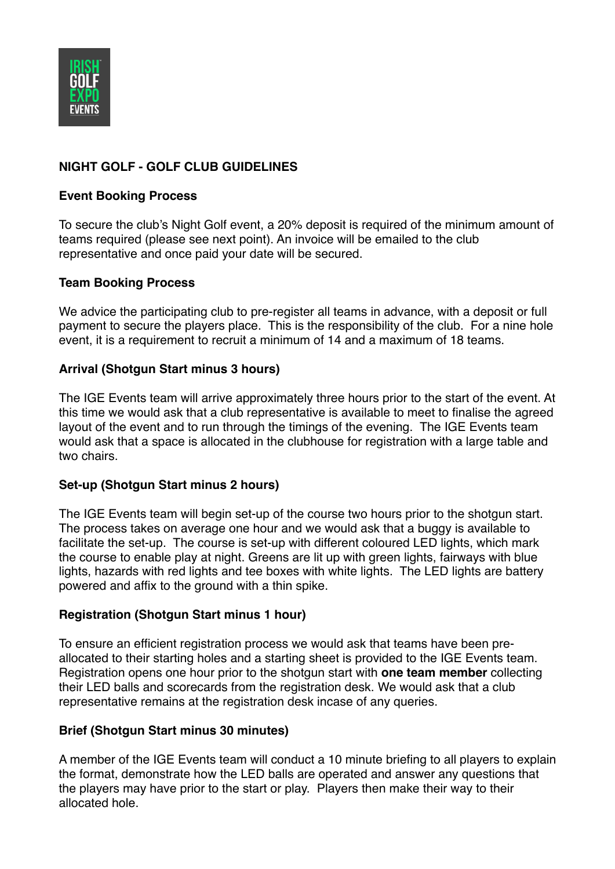

# **NIGHT GOLF - GOLF CLUB GUIDELINES**

#### **Event Booking Process**

To secure the club's Night Golf event, a 20% deposit is required of the minimum amount of teams required (please see next point). An invoice will be emailed to the club representative and once paid your date will be secured.

### **Team Booking Process**

We advice the participating club to pre-register all teams in advance, with a deposit or full payment to secure the players place. This is the responsibility of the club. For a nine hole event, it is a requirement to recruit a minimum of 14 and a maximum of 18 teams.

### **Arrival (Shotgun Start minus 3 hours)**

The IGE Events team will arrive approximately three hours prior to the start of the event. At this time we would ask that a club representative is available to meet to finalise the agreed layout of the event and to run through the timings of the evening. The IGE Events team would ask that a space is allocated in the clubhouse for registration with a large table and two chairs.

#### **Set-up (Shotgun Start minus 2 hours)**

The IGE Events team will begin set-up of the course two hours prior to the shotgun start. The process takes on average one hour and we would ask that a buggy is available to facilitate the set-up. The course is set-up with different coloured LED lights, which mark the course to enable play at night. Greens are lit up with green lights, fairways with blue lights, hazards with red lights and tee boxes with white lights. The LED lights are battery powered and affix to the ground with a thin spike.

#### **Registration (Shotgun Start minus 1 hour)**

To ensure an efficient registration process we would ask that teams have been preallocated to their starting holes and a starting sheet is provided to the IGE Events team. Registration opens one hour prior to the shotgun start with **one team member** collecting their LED balls and scorecards from the registration desk. We would ask that a club representative remains at the registration desk incase of any queries.

#### **Brief (Shotgun Start minus 30 minutes)**

A member of the IGE Events team will conduct a 10 minute briefing to all players to explain the format, demonstrate how the LED balls are operated and answer any questions that the players may have prior to the start or play. Players then make their way to their allocated hole.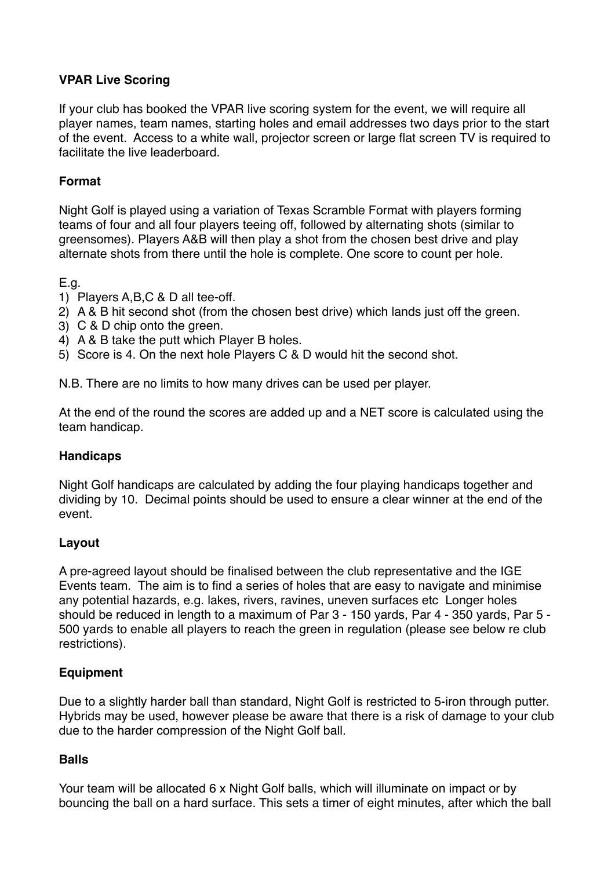## **VPAR Live Scoring**

If your club has booked the VPAR live scoring system for the event, we will require all player names, team names, starting holes and email addresses two days prior to the start of the event. Access to a white wall, projector screen or large flat screen TV is required to facilitate the live leaderboard.

## **Format**

Night Golf is played using a variation of Texas Scramble Format with players forming teams of four and all four players teeing off, followed by alternating shots (similar to greensomes). Players A&B will then play a shot from the chosen best drive and play alternate shots from there until the hole is complete. One score to count per hole.

E.g.

- 1) Players A,B,C & D all tee-off.
- 2) A & B hit second shot (from the chosen best drive) which lands just off the green.
- 3) C & D chip onto the green.
- 4) A & B take the putt which Player B holes.
- 5) Score is 4. On the next hole Players C & D would hit the second shot.

N.B. There are no limits to how many drives can be used per player.

At the end of the round the scores are added up and a NET score is calculated using the team handicap.

#### **Handicaps**

Night Golf handicaps are calculated by adding the four playing handicaps together and dividing by 10. Decimal points should be used to ensure a clear winner at the end of the event.

#### **Layout**

A pre-agreed layout should be finalised between the club representative and the IGE Events team. The aim is to find a series of holes that are easy to navigate and minimise any potential hazards, e.g. lakes, rivers, ravines, uneven surfaces etc Longer holes should be reduced in length to a maximum of Par 3 - 150 yards, Par 4 - 350 yards, Par 5 - 500 yards to enable all players to reach the green in regulation (please see below re club restrictions).

#### **Equipment**

Due to a slightly harder ball than standard, Night Golf is restricted to 5-iron through putter. Hybrids may be used, however please be aware that there is a risk of damage to your club due to the harder compression of the Night Golf ball.

#### **Balls**

Your team will be allocated 6 x Night Golf balls, which will illuminate on impact or by bouncing the ball on a hard surface. This sets a timer of eight minutes, after which the ball